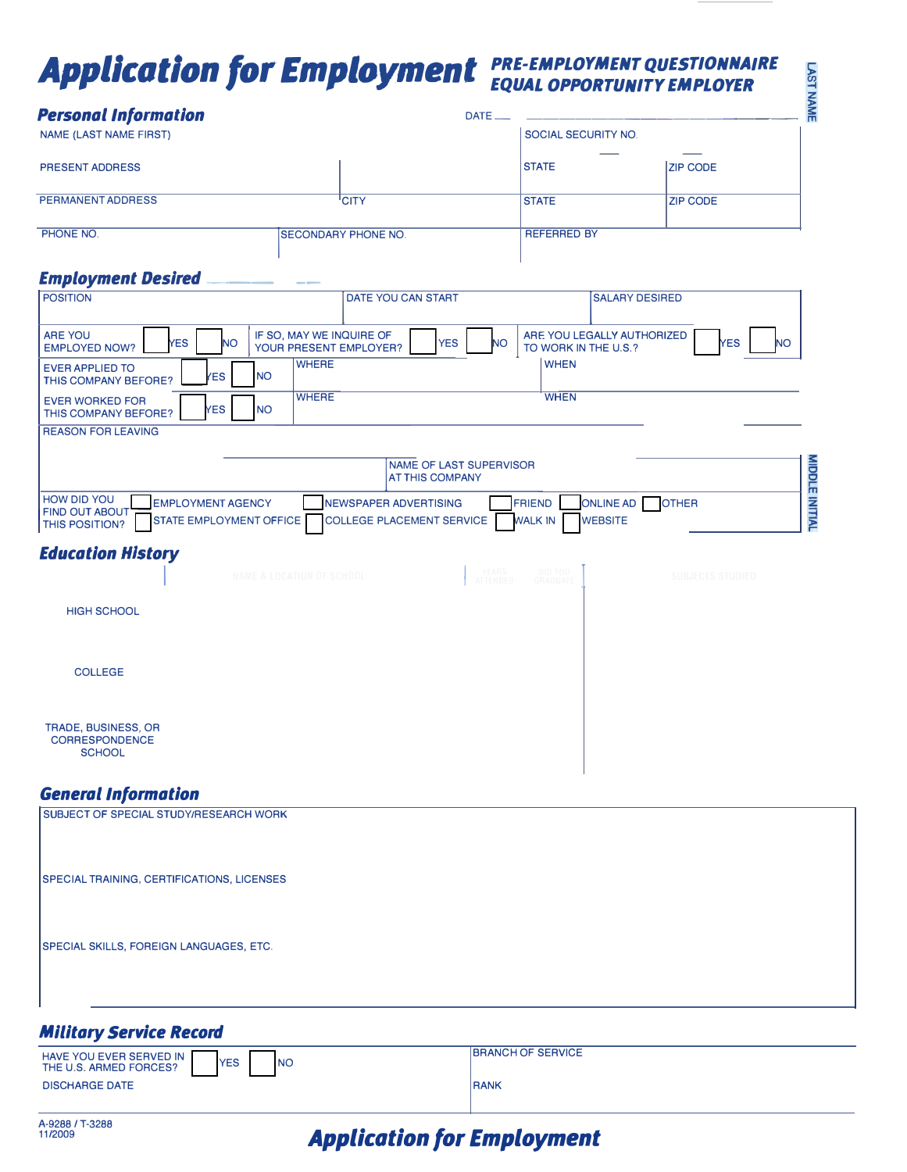# **Application for Employment** PRE-EMPLOYMENT QUESTIONNAIRE

| <b>Personal Information</b>                                                                                                 |                                                                  | DATE_                                                                 | 斋                                     |
|-----------------------------------------------------------------------------------------------------------------------------|------------------------------------------------------------------|-----------------------------------------------------------------------|---------------------------------------|
| <b>NAME (LAST NAME FIRST)</b>                                                                                               |                                                                  | SOCIAL SECURITY NO.                                                   |                                       |
| <b>PRESENT ADDRESS</b>                                                                                                      |                                                                  | <b>STATE</b>                                                          | <b>ZIP CODE</b>                       |
| <b>PERMANENT ADDRESS</b>                                                                                                    | 'CITY                                                            | <b>STATE</b>                                                          | <b>ZIP CODE</b>                       |
| PHONE NO.                                                                                                                   | <b>SECONDARY PHONE NO.</b>                                       | <b>REFERRED BY</b>                                                    |                                       |
| <b>Employment Desired</b>                                                                                                   |                                                                  |                                                                       |                                       |
| <b>POSITION</b>                                                                                                             | DATE YOU CAN START                                               |                                                                       | <b>SALARY DESIRED</b>                 |
| ARE YOU<br><b>NO</b><br><b>YES</b><br><b>EMPLOYED NOW?</b>                                                                  | IF SO, MAY WE INQUIRE OF<br><b>YES</b><br>YOUR PRESENT EMPLOYER? | ARE YOU LEGALLY AUTHORIZED<br><b>NO</b><br>TO WORK IN THE U.S.?       | <b>YES</b><br><b>NO</b>               |
| <b>EVER APPLIED TO</b><br><b>ES</b><br><b>THIS COMPANY BEFORE?</b>                                                          | <b>WHERE</b><br><b>NO</b>                                        | <b>WHEN</b>                                                           |                                       |
| <b>EVER WORKED FOR</b><br><b>YES</b><br>THIS COMPANY BEFORE?                                                                | <b>WHERE</b><br><b>NO</b>                                        | <b>WHEN</b>                                                           |                                       |
| <b>REASON FOR LEAVING</b>                                                                                                   |                                                                  |                                                                       |                                       |
|                                                                                                                             | <b>NAME OF LAST SUPERVISOR</b><br><b>AT THIS COMPANY</b>         |                                                                       |                                       |
| <b>HOW DID YOU</b><br><b>EMPLOYMENT AGENCY</b><br><b>FIND OUT ABOUT</b><br>STATE EMPLOYMENT OFFICE<br><b>THIS POSITION?</b> | <b>NEWSPAPER ADVERTISING</b><br><b>COLLEGE PLACEMENT SERVICE</b> | <b>ONLINE AD</b><br><b>FRIEND</b><br><b>WEBSITE</b><br><b>WALK IN</b> | <b>MIDDLE INITIAL</b><br><b>OTHER</b> |
| <b>Education History</b>                                                                                                    |                                                                  |                                                                       |                                       |

|                                                               | NAME & LOCATION OF SCHOOL | YEARS<br>ATTENDED | DID YOU<br>GRADUATE | <b>SUBJECTS STUDIED</b> |
|---------------------------------------------------------------|---------------------------|-------------------|---------------------|-------------------------|
| <b>HIGH SCHOOL</b>                                            |                           |                   |                     |                         |
| <b>COLLEGE</b>                                                |                           |                   |                     |                         |
| TRADE, BUSINESS, OR<br><b>CORRESPONDENCE</b><br><b>SCHOOL</b> |                           |                   |                     |                         |

#### **General Information**

| SUBJECT OF SPECIAL STUDY/RESEARCH WORK     |  |
|--------------------------------------------|--|
| SPECIAL TRAINING, CERTIFICATIONS, LICENSES |  |
|                                            |  |
| SPECIAL SKILLS, FOREIGN LANGUAGES, ETC.    |  |
|                                            |  |

## **Military Service Record**

| HAVE YOU EVER SERVED IN<br><b>YES</b><br><b>INO</b><br>THE U.S. ARMED FORCES? | <b>IBRANCH OF SERVICE</b> |
|-------------------------------------------------------------------------------|---------------------------|
| <b>DISCHARGE DATE</b>                                                         | <b>RANK</b>               |

# **Application for Employment**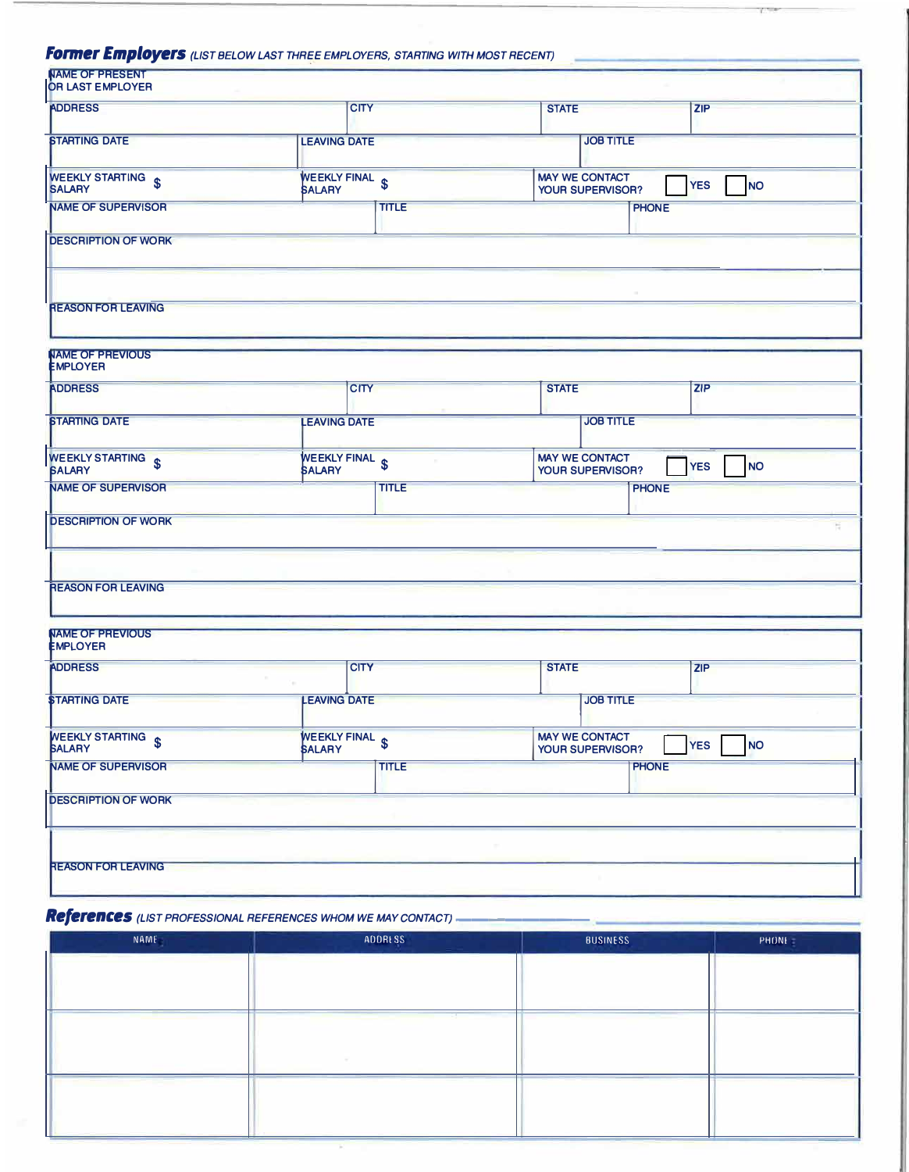### *Former Employers* (LIST BELOW LAST THREE EMPLOYERS, STARTING WITH MOST RECENT)

| <b>OR LAST EMPLOYER</b>                    |                                  |              |              |                                           |                         |
|--------------------------------------------|----------------------------------|--------------|--------------|-------------------------------------------|-------------------------|
| <b>ADDRESS</b>                             | <b>CITY</b>                      |              | <b>STATE</b> |                                           | ZIP                     |
| <b>STARTING DATE</b>                       | <b>LEAVING DATE</b>              |              |              | <b>JOB TITLE</b>                          |                         |
| WEEKLY STARTING \$<br><b>SALARY</b>        | WEEKLY FINAL \$<br><b>SALARY</b> |              |              | <b>MAY WE CONTACT</b><br>YOUR SUPERVISOR? | <b>NO</b><br><b>YES</b> |
| <b>NAME OF SUPERVISOR</b>                  |                                  | <b>TITLE</b> |              | <b>PHONE</b>                              |                         |
| <b>DESCRIPTION OF WORK</b>                 |                                  |              |              |                                           |                         |
| <b>REASON FOR LEAVING</b>                  |                                  |              |              |                                           |                         |
|                                            |                                  |              |              |                                           |                         |
| <b>NAME OF PREVIOUS</b><br><b>EMPLOYER</b> |                                  |              |              |                                           |                         |
|                                            |                                  |              | <b>STATE</b> |                                           | <b>ZIP</b>              |

|                                         |                                 | -   -<br>--                                                                 |  |
|-----------------------------------------|---------------------------------|-----------------------------------------------------------------------------|--|
| <b>STARTING DATE</b>                    | <b>LEAVING DATE</b>             | <b>JOB TITLE</b>                                                            |  |
| <b>WEEKLY STARTING</b><br><b>BALARY</b> | WEEKLY FINAL &<br><b>SALARY</b> | <b>MAY WE CONTACT</b><br><b>YES</b><br><b>NO</b><br><b>YOUR SUPERVISOR?</b> |  |
| <b>NAME OF SUPERVISOR</b>               | <b>TITLE</b>                    | <b>PHONE</b>                                                                |  |
| <b>DESCRIPTION OF WORK</b>              |                                 |                                                                             |  |
|                                         |                                 |                                                                             |  |
| <b>REASON FOR LEAVING</b>               |                                 |                                                                             |  |

| <b>JOB TITLE</b><br><b>LEAVING DATE</b><br>WEEKLY FINAL &<br><b>MAY WE CONTACT</b><br><b>YES</b><br><b>YOUR SUPERVISOR?</b><br><b>SALARY</b><br><b>TITLE</b><br><b>PHONE</b> | <b>ADDRESS</b>                      | <b>CITY</b> | <b>STATE</b> | <b>ZIP</b> |
|------------------------------------------------------------------------------------------------------------------------------------------------------------------------------|-------------------------------------|-------------|--------------|------------|
|                                                                                                                                                                              | <b><i>STARTING DATE</i></b>         |             |              |            |
|                                                                                                                                                                              | WEEKLY STARTING \$<br><b>BALARY</b> |             |              | <b>NO</b>  |
|                                                                                                                                                                              | <b>NAME OF SUPERVISOR</b>           |             |              |            |
|                                                                                                                                                                              | <b>DESCRIPTION OF WORK</b>          |             |              |            |

## *References (LIST PROFESSIONAL REFERENCES WHOM WE MAY CONTACT)--------*

| NAME | ADDRESS | <b>BUSINESS</b> | <b>PHONE</b> |
|------|---------|-----------------|--------------|
|      |         |                 |              |
|      |         |                 |              |
|      |         |                 |              |
|      |         |                 |              |
|      |         |                 |              |
|      |         |                 |              |
|      |         |                 |              |
|      |         |                 |              |